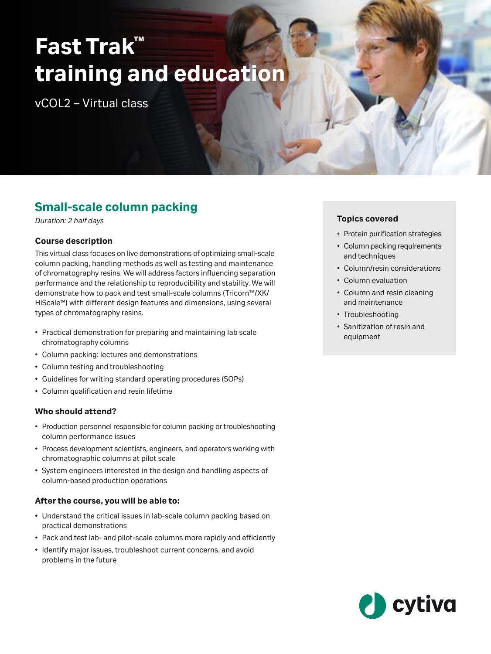# **Fast Trak™ training and education**

vCOL2 – Virtual class

## **Small-scale column packing**

*Duration: 2 half days*

### **Course description**

This virtual class focuses on live demonstrations of optimizing small-scale column packing, handling methods as well as testing and maintenance of chromatography resins. We will address factors influencing separation performance and the relationship to reproducibility and stability. We will demonstrate how to pack and test small-scale columns (Tricorn™/XK/ HiScale™) with different design features and dimensions, using several types of chromatography resins.

- Practical demonstration for preparing and maintaining lab scale chromatography columns
- Column packing: lectures and demonstrations
- Column testing and troubleshooting
- Guidelines for writing standard operating procedures (SOPs)
- Column qualification and resin lifetime

### **Who should attend?**

- Production personnel responsible for column packing or troubleshooting column performance issues
- Process development scientists, engineers, and operators working with chromatographic columns at pilot scale
- System engineers interested in the design and handling aspects of column-based production operations

### **After the course, you will be able to:**

- Understand the critical issues in lab-scale column packing based on practical demonstrations
- Pack and test lab- and pilot-scale columns more rapidly and efficiently
- Identify major issues, troubleshoot current concerns, and avoid problems in the future

### **Topics covered**

- Protein purification strategies
- Column packing requirements and techniques
- Column/resin considerations
- Column evaluation
- Column and resin cleaning and maintenance
- Troubleshooting
- Sanitization of resin and equipment